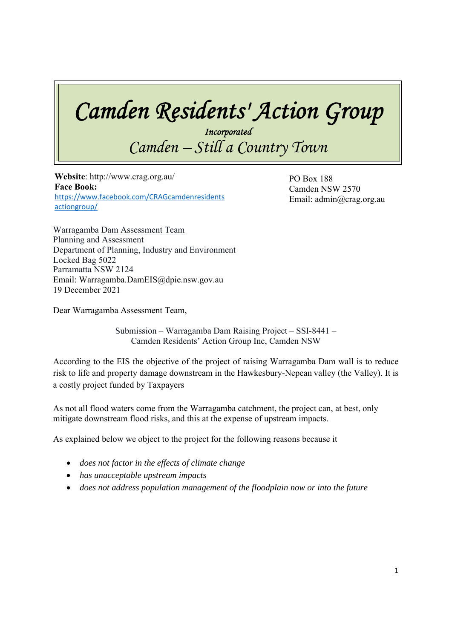## *Camden Residents' Action Group*

*Incorporated Camden – Still a Country Town* 

 $\frac{1}{2}$  **Website**: http://www.crag.org.au/ **Face Book:**  https://www.facebook.com/CRAGcamdenresidents actiongroup/

PO Box 188 Camden NSW 2570 Email: admin@crag.org.au

Warragamba Dam Assessment Team Planning and Assessment Department of Planning, Industry and Environment Locked Bag 5022 Parramatta NSW 2124 Email: Warragamba.DamEIS@dpie.nsw.gov.au 19 December 2021

Dear Warragamba Assessment Team,

Submission – Warragamba Dam Raising Project – SSI-8441 – Camden Residents' Action Group Inc, Camden NSW

According to the EIS the objective of the project of raising Warragamba Dam wall is to reduce risk to life and property damage downstream in the Hawkesbury-Nepean valley (the Valley). It is a costly project funded by Taxpayers

As not all flood waters come from the Warragamba catchment, the project can, at best, only mitigate downstream flood risks, and this at the expense of upstream impacts.

As explained below we object to the project for the following reasons because it

- *does not factor in the effects of climate change*
- *has unacceptable upstream impacts*
- *does not address population management of the floodplain now or into the future*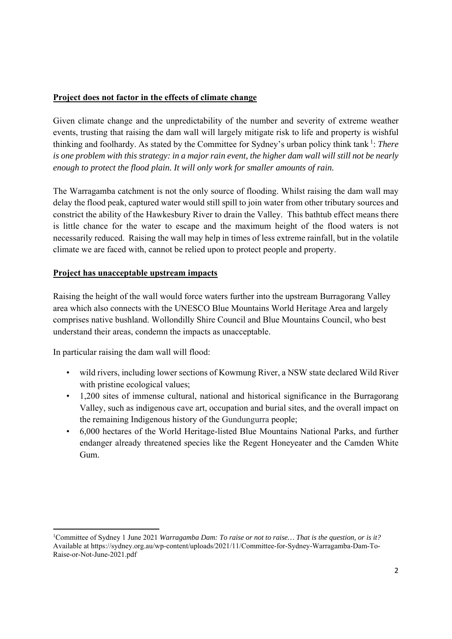## **Project does not factor in the effects of climate change**

Given climate change and the unpredictability of the number and severity of extreme weather events, trusting that raising the dam wall will largely mitigate risk to life and property is wishful thinking and foolhardy. As stated by the Committee for Sydney's urban policy think tank 1: *There is one problem with this strategy: in a major rain event, the higher dam wall will still not be nearly enough to protect the flood plain. It will only work for smaller amounts of rain.* 

The Warragamba catchment is not the only source of flooding. Whilst raising the dam wall may delay the flood peak, captured water would still spill to join water from other tributary sources and constrict the ability of the Hawkesbury River to drain the Valley. This bathtub effect means there is little chance for the water to escape and the maximum height of the flood waters is not necessarily reduced. Raising the wall may help in times of less extreme rainfall, but in the volatile climate we are faced with, cannot be relied upon to protect people and property.

## **Project has unacceptable upstream impacts**

Raising the height of the wall would force waters further into the upstream Burragorang Valley area which also connects with the UNESCO Blue Mountains World Heritage Area and largely comprises native bushland. Wollondilly Shire Council and Blue Mountains Council, who best understand their areas, condemn the impacts as unacceptable.

In particular raising the dam wall will flood:

- wild rivers, including lower sections of Kowmung River, a NSW state declared Wild River with pristine ecological values;
- 1,200 sites of immense cultural, national and historical significance in the Burragorang Valley, such as indigenous cave art, occupation and burial sites, and the overall impact on the remaining Indigenous history of the Gundungurra people;
- 6,000 hectares of the World Heritage-listed Blue Mountains National Parks, and further endanger already threatened species like the Regent Honeyeater and the Camden White Gum.

<sup>&</sup>lt;sup>1</sup>Committee of Sydney 1 June 2021 *Warragamba Dam: To raise or not to raise... That is the question, or is it?* Available at https://sydney.org.au/wp-content/uploads/2021/11/Committee-for-Sydney-Warragamba-Dam-To-Raise-or-Not-June-2021.pdf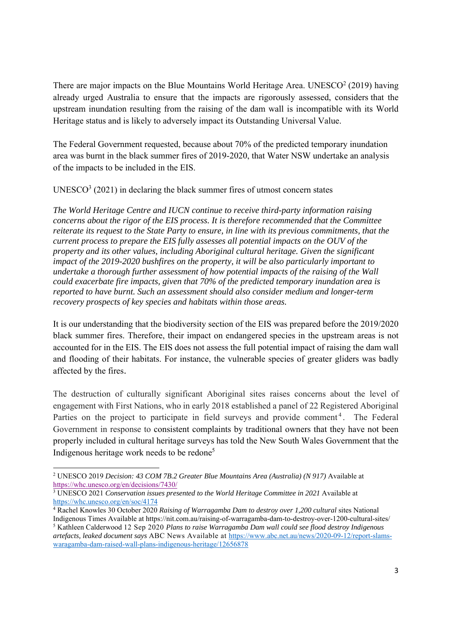There are major impacts on the Blue Mountains World Heritage Area. UNESCO $2$  (2019) having already urged Australia to ensure that the impacts are rigorously assessed, considers that the upstream inundation resulting from the raising of the dam wall is incompatible with its World Heritage status and is likely to adversely impact its Outstanding Universal Value.

The Federal Government requested, because about 70% of the predicted temporary inundation area was burnt in the black summer fires of 2019-2020, that Water NSW undertake an analysis of the impacts to be included in the EIS.

 $UNESCO<sup>3</sup>$  (2021) in declaring the black summer fires of utmost concern states

*The World Heritage Centre and IUCN continue to receive third-party information raising concerns about the rigor of the EIS process. It is therefore recommended that the Committee reiterate its request to the State Party to ensure, in line with its previous commitments, that the current process to prepare the EIS fully assesses all potential impacts on the OUV of the property and its other values, including Aboriginal cultural heritage. Given the significant impact of the 2019-2020 bushfires on the property, it will be also particularly important to undertake a thorough further assessment of how potential impacts of the raising of the Wall could exacerbate fire impacts, given that 70% of the predicted temporary inundation area is reported to have burnt. Such an assessment should also consider medium and longer-term recovery prospects of key species and habitats within those areas.* 

It is our understanding that the biodiversity section of the EIS was prepared before the 2019/2020 black summer fires. Therefore, their impact on endangered species in the upstream areas is not accounted for in the EIS. The EIS does not assess the full potential impact of raising the dam wall and flooding of their habitats. For instance, the vulnerable species of greater gliders was badly affected by the fires.

The destruction of culturally significant Aboriginal sites raises concerns about the level of engagement with First Nations, who in early 2018 established a panel of 22 Registered Aboriginal Parties on the project to participate in field surveys and provide comment<sup>4</sup>. The Federal Government in response to consistent complaints by traditional owners that they have not been properly included in cultural heritage surveys has told the New South Wales Government that the Indigenous heritage work needs to be redone5

<sup>2</sup> UNESCO 2019 *Decision: 43 COM 7B.2 Greater Blue Mountains Area (Australia) (N 917)* Available at https://whc.unesco.org/en/decisions/7430/

<sup>3</sup> UNESCO 2021 *Conservation issues presented to the World Heritage Committee in 2021* Available at https://whc.unesco.org/en/soc/4174

<sup>4</sup> Rachel Knowles 30 October 2020 *Raising of Warragamba Dam to destroy over 1,200 cultural* sites National Indigenous Times Available at https://nit.com.au/raising-of-warragamba-dam-to-destroy-over-1200-cultural-sites/ 5

<sup>&</sup>lt;sup>5</sup> Kathleen Calderwood 12 Sep 2020 *Plans to raise Warragamba Dam wall could see flood destroy Indigenous artefacts, leaked document says* ABC News Available at https://www.abc.net.au/news/2020-09-12/report-slamswaragamba-dam-raised-wall-plans-indigenous-heritage/12656878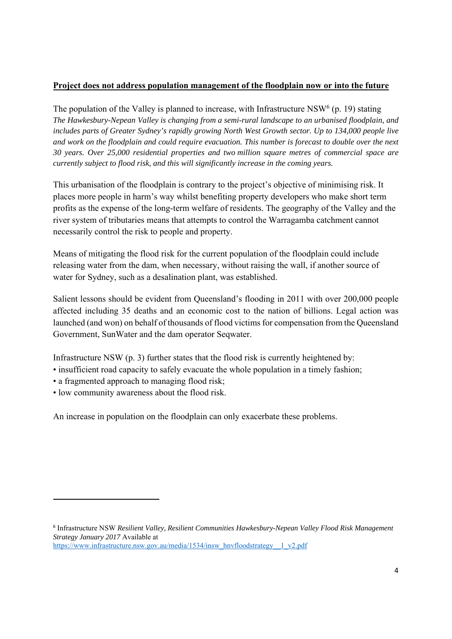## **Project does not address population management of the floodplain now or into the future**

The population of the Valley is planned to increase, with Infrastructure NSW<sup>6</sup> (p. 19) stating *The Hawkesbury-Nepean Valley is changing from a semi-rural landscape to an urbanised floodplain, and includes parts of Greater Sydney's rapidly growing North West Growth sector. Up to 134,000 people live and work on the floodplain and could require evacuation. This number is forecast to double over the next 30 years. Over 25,000 residential properties and two million square metres of commercial space are currently subject to flood risk, and this will significantly increase in the coming years.* 

This urbanisation of the floodplain is contrary to the project's objective of minimising risk. It places more people in harm's way whilst benefiting property developers who make short term profits as the expense of the long-term welfare of residents. The geography of the Valley and the river system of tributaries means that attempts to control the Warragamba catchment cannot necessarily control the risk to people and property.

Means of mitigating the flood risk for the current population of the floodplain could include releasing water from the dam, when necessary, without raising the wall, if another source of water for Sydney, such as a desalination plant, was established.

Salient lessons should be evident from Queensland's flooding in 2011 with over 200,000 people affected including 35 deaths and an economic cost to the nation of billions. Legal action was launched (and won) on behalf of thousands of flood victims for compensation from the Queensland Government, SunWater and the dam operator Seqwater.

Infrastructure NSW (p. 3) further states that the flood risk is currently heightened by:

- insufficient road capacity to safely evacuate the whole population in a timely fashion;
- a fragmented approach to managing flood risk;
- low community awareness about the flood risk.

An increase in population on the floodplain can only exacerbate these problems.

<sup>6</sup> Infrastructure NSW *Resilient Valley, Resilient Communities Hawkesbury-Nepean Valley Flood Risk Management Strategy January 2017* Available at https://www.infrastructure.nsw.gov.au/media/1534/insw\_hnvfloodstrategy\_\_1\_v2.pdf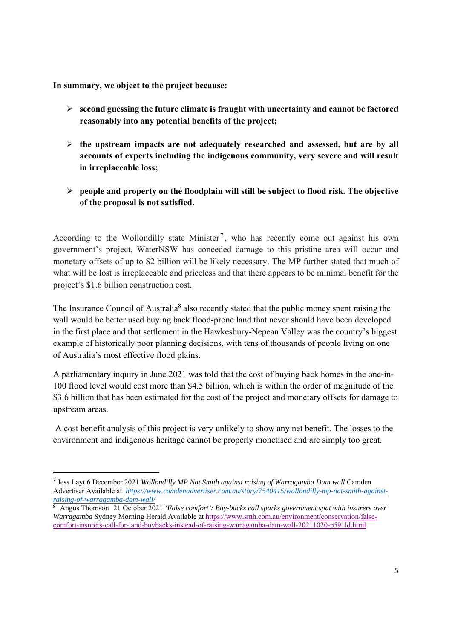**In summary, we object to the project because:** 

- **second guessing the future climate is fraught with uncertainty and cannot be factored reasonably into any potential benefits of the project;**
- **the upstream impacts are not adequately researched and assessed, but are by all accounts of experts including the indigenous community, very severe and will result in irreplaceable loss;**
- **people and property on the floodplain will still be subject to flood risk. The objective of the proposal is not satisfied.**

According to the Wollondilly state Minister<sup>7</sup>, who has recently come out against his own government's project, WaterNSW has conceded damage to this pristine area will occur and monetary offsets of up to \$2 billion will be likely necessary. The MP further stated that much of what will be lost is irreplaceable and priceless and that there appears to be minimal benefit for the project's \$1.6 billion construction cost.

The Insurance Council of Australia<sup>8</sup> also recently stated that the public money spent raising the wall would be better used buying back flood-prone land that never should have been developed in the first place and that settlement in the Hawkesbury-Nepean Valley was the country's biggest example of historically poor planning decisions, with tens of thousands of people living on one of Australia's most effective flood plains.

A parliamentary inquiry in June 2021 was told that the cost of buying back homes in the one-in-100 flood level would cost more than \$4.5 billion, which is within the order of magnitude of the \$3.6 billion that has been estimated for the cost of the project and monetary offsets for damage to upstream areas.

 A cost benefit analysis of this project is very unlikely to show any net benefit. The losses to the environment and indigenous heritage cannot be properly monetised and are simply too great.

<sup>7</sup> Jess Layt 6 December 2021 *Wollondilly MP Nat Smith against raising of Warragamba Dam wall* Camden Advertiser Available at *https://www.camdenadvertiser.com.au/story/7540415/wollondilly-mp-nat-smith-againstraising-of-warragamba-dam-wall/*

**<sup>8</sup>** Angus Thomson 21 October 2021 *'False comfort': Buy-backs call sparks government spat with insurers over Warragamba* Sydney Morning Herald Available at https://www.smh.com.au/environment/conservation/falsecomfort-insurers-call-for-land-buybacks-instead-of-raising-warragamba-dam-wall-20211020-p591ld.html